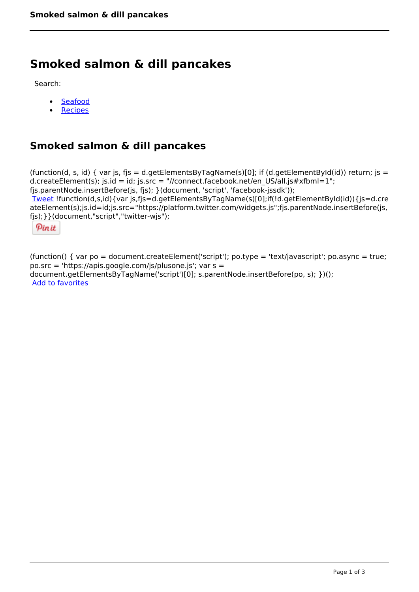# **Smoked salmon & dill pancakes**

Search:

- [Seafood](https://www.naturalhealthmag.com.au/nourish/seafood)  $\bullet$
- [Recipes](https://www.naturalhealthmag.com.au/nourish/recipes)

## **Smoked salmon & dill pancakes**

(function(d, s, id) { var js, fjs = d.getElementsByTagName(s)[0]; if (d.getElementById(id)) return; js = d.createElement(s); js.id = id; js.src = "//connect.facebook.net/en\_US/all.js#xfbml=1"; fjs.parentNode.insertBefore(js, fjs); }(document, 'script', 'facebook-jssdk')); [Tweet](https://twitter.com/share) !function(d,s,id){var js,fjs=d.getElementsByTagName(s)[0];if(!d.getElementById(id)){js=d.cre ateElement(s);js.id=id;js.src="https://platform.twitter.com/widgets.js";fjs.parentNode.insertBefore(js, fjs);}}(document,"script","twitter-wjs");

Pinit

(function() { var po = document.createElement('script'); po.type = 'text/javascript'; po.async = true; po.src = 'https://apis.google.com/js/plusone.js'; var s = document.getElementsByTagName('script')[0]; s.parentNode.insertBefore(po, s); })(); Add to favorites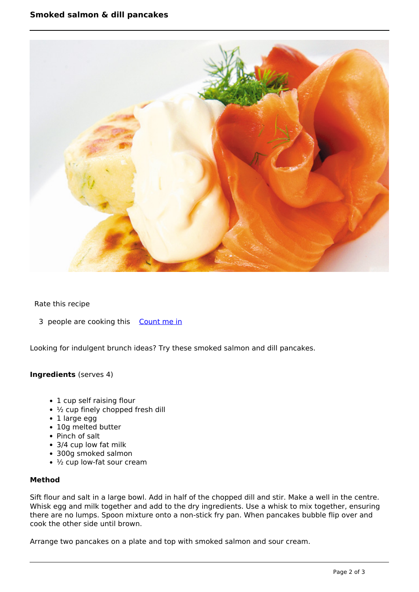

### Rate this recipe

3 people are cooking this [Count me in](https://www.naturalhealthmag.com.au/flag/flag/favorites/449?destination=printpdf%2F449&token=7037172cb42dea25d660245367646b54)

Looking for indulgent brunch ideas? Try these smoked salmon and dill pancakes.

#### **Ingredients** (serves 4)

- 1 cup self raising flour
- ½ cup finely chopped fresh dill
- 1 large egg
- 10g melted butter
- Pinch of salt
- 3/4 cup low fat milk
- 300g smoked salmon
- ½ cup low-fat sour cream

### **Method**

Sift flour and salt in a large bowl. Add in half of the chopped dill and stir. Make a well in the centre. Whisk egg and milk together and add to the dry ingredients. Use a whisk to mix together, ensuring there are no lumps. Spoon mixture onto a non-stick fry pan. When pancakes bubble flip over and cook the other side until brown.

Arrange two pancakes on a plate and top with smoked salmon and sour cream.